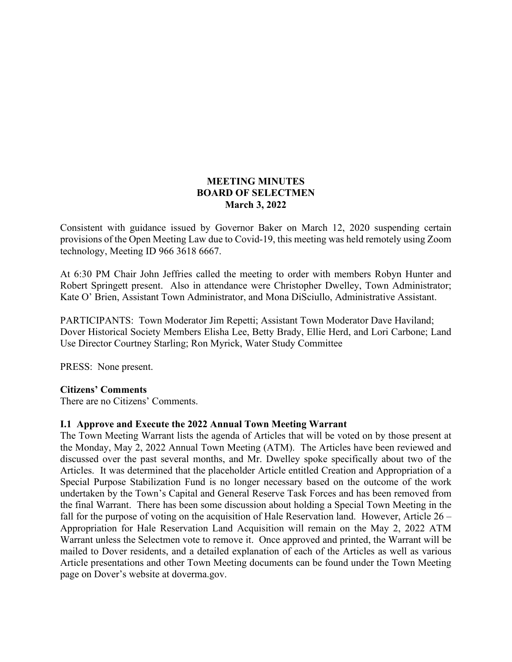### **MEETING MINUTES BOARD OF SELECTMEN March 3, 2022**

Consistent with guidance issued by Governor Baker on March 12, 2020 suspending certain provisions of the Open Meeting Law due to Covid-19, this meeting was held remotely using Zoom technology, Meeting ID 966 3618 6667.

At 6:30 PM Chair John Jeffries called the meeting to order with members Robyn Hunter and Robert Springett present. Also in attendance were Christopher Dwelley, Town Administrator; Kate O' Brien, Assistant Town Administrator, and Mona DiSciullo, Administrative Assistant.

PARTICIPANTS: Town Moderator Jim Repetti; Assistant Town Moderator Dave Haviland; Dover Historical Society Members Elisha Lee, Betty Brady, Ellie Herd, and Lori Carbone; Land Use Director Courtney Starling; Ron Myrick, Water Study Committee

PRESS: None present.

#### **Citizens' Comments**

There are no Citizens' Comments.

#### **I.1 Approve and Execute the 2022 Annual Town Meeting Warrant**

The Town Meeting Warrant lists the agenda of Articles that will be voted on by those present at the Monday, May 2, 2022 Annual Town Meeting (ATM). The Articles have been reviewed and discussed over the past several months, and Mr. Dwelley spoke specifically about two of the Articles. It was determined that the placeholder Article entitled Creation and Appropriation of a Special Purpose Stabilization Fund is no longer necessary based on the outcome of the work undertaken by the Town's Capital and General Reserve Task Forces and has been removed from the final Warrant. There has been some discussion about holding a Special Town Meeting in the fall for the purpose of voting on the acquisition of Hale Reservation land. However, Article 26 – Appropriation for Hale Reservation Land Acquisition will remain on the May 2, 2022 ATM Warrant unless the Selectmen vote to remove it. Once approved and printed, the Warrant will be mailed to Dover residents, and a detailed explanation of each of the Articles as well as various Article presentations and other Town Meeting documents can be found under the Town Meeting page on Dover's website at doverma.gov.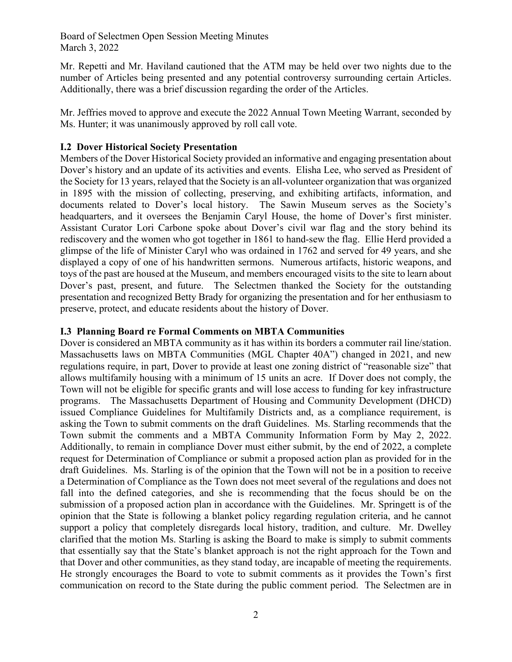Board of Selectmen Open Session Meeting Minutes March 3, 2022

Mr. Repetti and Mr. Haviland cautioned that the ATM may be held over two nights due to the number of Articles being presented and any potential controversy surrounding certain Articles. Additionally, there was a brief discussion regarding the order of the Articles.

Mr. Jeffries moved to approve and execute the 2022 Annual Town Meeting Warrant, seconded by Ms. Hunter; it was unanimously approved by roll call vote.

## **I.2 Dover Historical Society Presentation**

Members of the Dover Historical Society provided an informative and engaging presentation about Dover's history and an update of its activities and events. Elisha Lee, who served as President of the Society for 13 years, relayed that the Society is an all-volunteer organization that was organized in 1895 with the mission of collecting, preserving, and exhibiting artifacts, information, and documents related to Dover's local history. The Sawin Museum serves as the Society's headquarters, and it oversees the Benjamin Caryl House, the home of Dover's first minister. Assistant Curator Lori Carbone spoke about Dover's civil war flag and the story behind its rediscovery and the women who got together in 1861 to hand-sew the flag. Ellie Herd provided a glimpse of the life of Minister Caryl who was ordained in 1762 and served for 49 years, and she displayed a copy of one of his handwritten sermons. Numerous artifacts, historic weapons, and toys of the past are housed at the Museum, and members encouraged visits to the site to learn about Dover's past, present, and future. The Selectmen thanked the Society for the outstanding presentation and recognized Betty Brady for organizing the presentation and for her enthusiasm to preserve, protect, and educate residents about the history of Dover.

#### **I.3 Planning Board re Formal Comments on MBTA Communities**

Dover is considered an MBTA community as it has within its borders a commuter rail line/station. Massachusetts laws on MBTA Communities (MGL Chapter 40A") changed in 2021, and new regulations require, in part, Dover to provide at least one zoning district of "reasonable size" that allows multifamily housing with a minimum of 15 units an acre. If Dover does not comply, the Town will not be eligible for specific grants and will lose access to funding for key infrastructure programs. The Massachusetts Department of Housing and Community Development (DHCD) issued Compliance Guidelines for Multifamily Districts and, as a compliance requirement, is asking the Town to submit comments on the draft Guidelines. Ms. Starling recommends that the Town submit the comments and a MBTA Community Information Form by May 2, 2022. Additionally, to remain in compliance Dover must either submit, by the end of 2022, a complete request for Determination of Compliance or submit a proposed action plan as provided for in the draft Guidelines. Ms. Starling is of the opinion that the Town will not be in a position to receive a Determination of Compliance as the Town does not meet several of the regulations and does not fall into the defined categories, and she is recommending that the focus should be on the submission of a proposed action plan in accordance with the Guidelines. Mr. Springett is of the opinion that the State is following a blanket policy regarding regulation criteria, and he cannot support a policy that completely disregards local history, tradition, and culture. Mr. Dwelley clarified that the motion Ms. Starling is asking the Board to make is simply to submit comments that essentially say that the State's blanket approach is not the right approach for the Town and that Dover and other communities, as they stand today, are incapable of meeting the requirements. He strongly encourages the Board to vote to submit comments as it provides the Town's first communication on record to the State during the public comment period. The Selectmen are in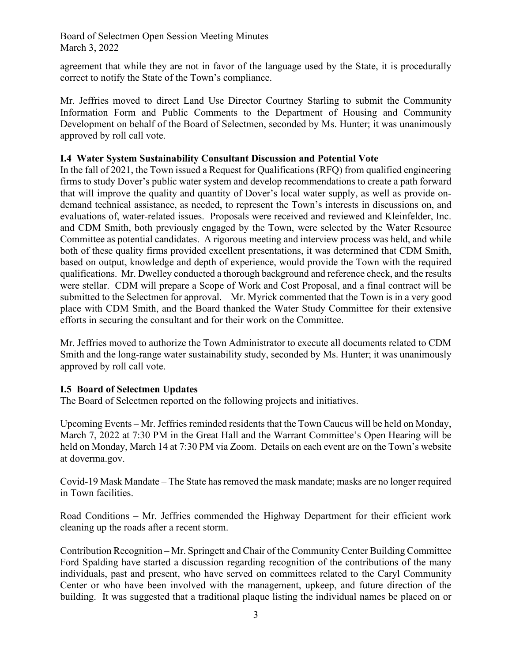### Board of Selectmen Open Session Meeting Minutes March 3, 2022

agreement that while they are not in favor of the language used by the State, it is procedurally correct to notify the State of the Town's compliance.

Mr. Jeffries moved to direct Land Use Director Courtney Starling to submit the Community Information Form and Public Comments to the Department of Housing and Community Development on behalf of the Board of Selectmen, seconded by Ms. Hunter; it was unanimously approved by roll call vote.

### **I.4 Water System Sustainability Consultant Discussion and Potential Vote**

In the fall of 2021, the Town issued a Request for Qualifications (RFQ) from qualified engineering firms to study Dover's public water system and develop recommendations to create a path forward that will improve the quality and quantity of Dover's local water supply, as well as provide ondemand technical assistance, as needed, to represent the Town's interests in discussions on, and evaluations of, water-related issues. Proposals were received and reviewed and Kleinfelder, Inc. and CDM Smith, both previously engaged by the Town, were selected by the Water Resource Committee as potential candidates. A rigorous meeting and interview process was held, and while both of these quality firms provided excellent presentations, it was determined that CDM Smith, based on output, knowledge and depth of experience, would provide the Town with the required qualifications. Mr. Dwelley conducted a thorough background and reference check, and the results were stellar. CDM will prepare a Scope of Work and Cost Proposal, and a final contract will be submitted to the Selectmen for approval. Mr. Myrick commented that the Town is in a very good place with CDM Smith, and the Board thanked the Water Study Committee for their extensive efforts in securing the consultant and for their work on the Committee.

Mr. Jeffries moved to authorize the Town Administrator to execute all documents related to CDM Smith and the long-range water sustainability study, seconded by Ms. Hunter; it was unanimously approved by roll call vote.

## **I.5 Board of Selectmen Updates**

The Board of Selectmen reported on the following projects and initiatives.

Upcoming Events – Mr. Jeffries reminded residents that the Town Caucus will be held on Monday, March 7, 2022 at 7:30 PM in the Great Hall and the Warrant Committee's Open Hearing will be held on Monday, March 14 at 7:30 PM via Zoom. Details on each event are on the Town's website at doverma.gov.

Covid-19 Mask Mandate – The State has removed the mask mandate; masks are no longer required in Town facilities.

Road Conditions – Mr. Jeffries commended the Highway Department for their efficient work cleaning up the roads after a recent storm.

Contribution Recognition – Mr. Springett and Chair of the Community Center Building Committee Ford Spalding have started a discussion regarding recognition of the contributions of the many individuals, past and present, who have served on committees related to the Caryl Community Center or who have been involved with the management, upkeep, and future direction of the building. It was suggested that a traditional plaque listing the individual names be placed on or